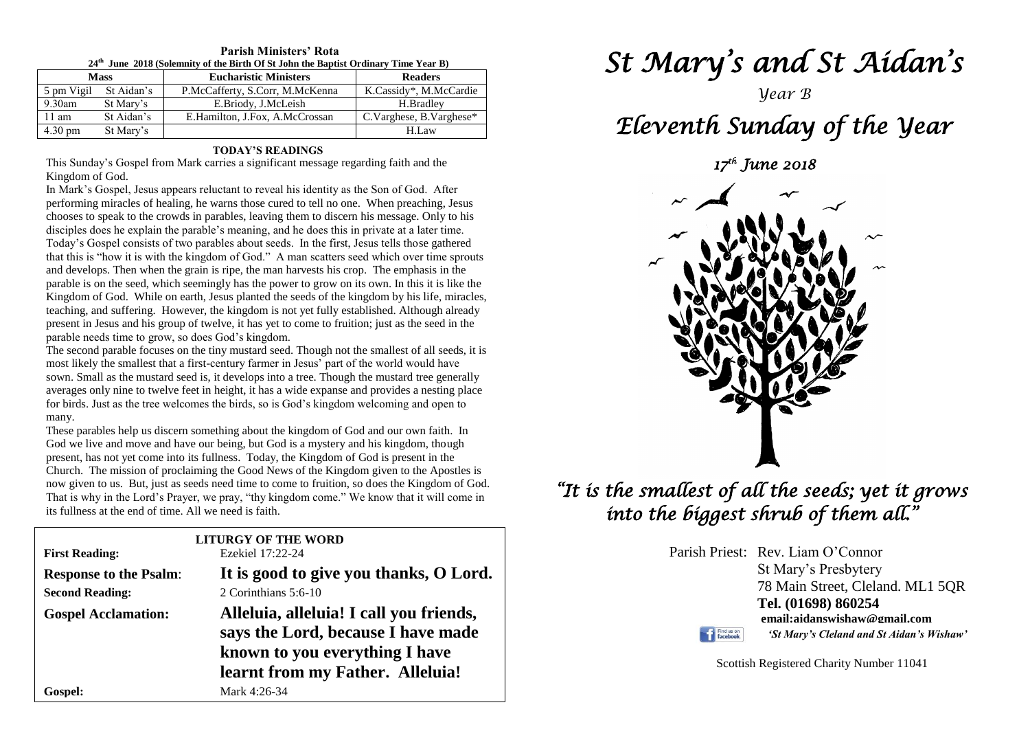| 24th June 2018 (Solemnity of the Birth Of St John the Baptist Ordinary Time Year B) |                       |                                 |                               |  |  |  |
|-------------------------------------------------------------------------------------|-----------------------|---------------------------------|-------------------------------|--|--|--|
| <b>Mass</b>                                                                         |                       | <b>Eucharistic Ministers</b>    | <b>Readers</b>                |  |  |  |
|                                                                                     | 5 pm Vigil St Aidan's | P.McCafferty, S.Corr, M.McKenna | K.Cassidy*, M.McCardie        |  |  |  |
| 9.30am                                                                              | St Mary's             | E.Briody, J.McLeish             | H.Bradlev                     |  |  |  |
| $11 \text{ am}$                                                                     | St Aidan's            | E.Hamilton, J.Fox, A.McCrossan  | $C.Varghese$ , B. $Varghese*$ |  |  |  |
| $4.30 \text{ pm}$                                                                   | St Mary's             |                                 | H.Law                         |  |  |  |

**Parish Ministers' Rota**

#### **TODAY'S READINGS**

This Sunday's Gospel from Mark carries a significant message regarding faith and the Kingdom of God.

In Mark's Gospel, Jesus appears reluctant to reveal his identity as the Son of God. After performing miracles of healing, he warns those cured to tell no one. When preaching, Jesus chooses to speak to the crowds in parables, leaving them to discern his message. Only to his disciples does he explain the parable's meaning, and he does this in private at a later time. Today's Gospel consists of two parables about seeds. In the first, Jesus tells those gathered that this is "how it is with the kingdom of God." A man scatters seed which over time sprouts and develops. Then when the grain is ripe, the man harvests his crop. The emphasis in the parable is on the seed, which seemingly has the power to grow on its own. In this it is like the Kingdom of God. While on earth, Jesus planted the seeds of the kingdom by his life, miracles, teaching, and suffering. However, the kingdom is not yet fully established. Although already present in Jesus and his group of twelve, it has yet to come to fruition; just as the seed in the parable needs time to grow, so does God's kingdom.

sown. Small as the mustard seed is, it develops into a tree. Though the mustard tree general<br>averages only nine to twelve feet in height, it has a wide expanse and provides a nesting pla<br>for birds. Just as the tree welcome The second parable focuses on the tiny mustard seed. Though not the smallest of all seeds, it is most likely the smallest that a first-century farmer in Jesus' part of the world would have sown. Small as the mustard seed is, it develops into a tree. Though the mustard tree generally averages only nine to twelve feet in height, it has a wide expanse and provides a nesting place many.

many.<br>These parables help us discern something about the kingdom of God and our own faith. In<br>God we live and move and have our being, but God is a mystery and his kingdom, though present, has not yet come mo its funness. Today, the Kingdom of Good is present in the<br>Church. The mission of proclaiming the Good News of the Kingdom given to the Apostles is<br>now given to us. But just as seeds need time t I had is why in the Lord's Frayer, we pray, thy Kin its fullness at the end of time. All we need is faith. God we live and move and have our being, but God is a mystery and his kingdom, though present, has not yet come into its fullness. Today, the Kingdom of God is present in the now given to us. But, just as seeds need time to come to fruition, so does the Kingdom of God. That is why in the Lord's Prayer, we pray, "thy kingdom come." We know that it will come in

| <b>First Reading:</b>         | <b>LITURGY OF THE WORD</b><br>Ezekiel 17:22-24                                                                                                      |
|-------------------------------|-----------------------------------------------------------------------------------------------------------------------------------------------------|
| <b>Response to the Psalm:</b> | It is good to give you thanks, O Lord.                                                                                                              |
| <b>Second Reading:</b>        | 2 Corinthians 5:6-10                                                                                                                                |
| <b>Gospel Acclamation:</b>    | Alleluia, alleluia! I call you friends,<br>says the Lord, because I have made<br>known to you everything I have<br>learnt from my Father. Alleluia! |
| Gospel:                       | Mark 4:26-34                                                                                                                                        |

*St Mary's and St Aidan's* 

# *Year B*

# *Eleventh Sunday of the Year*

*17th June 2018* 



# *"It is the smallest of all the seeds; yet it grows into the biggest shrub of them all."*

Parish Priest: Rev. Liam O'Connor St Mary's Presbytery 78 Main Street, Cleland. ML1 5QR **Tel. (01698) 860254 email:aidanswishaw@gmail.com** Find us on *'St Mary's Cleland and St Aidan's Wishaw'*

Scottish Registered Charity Number 11041